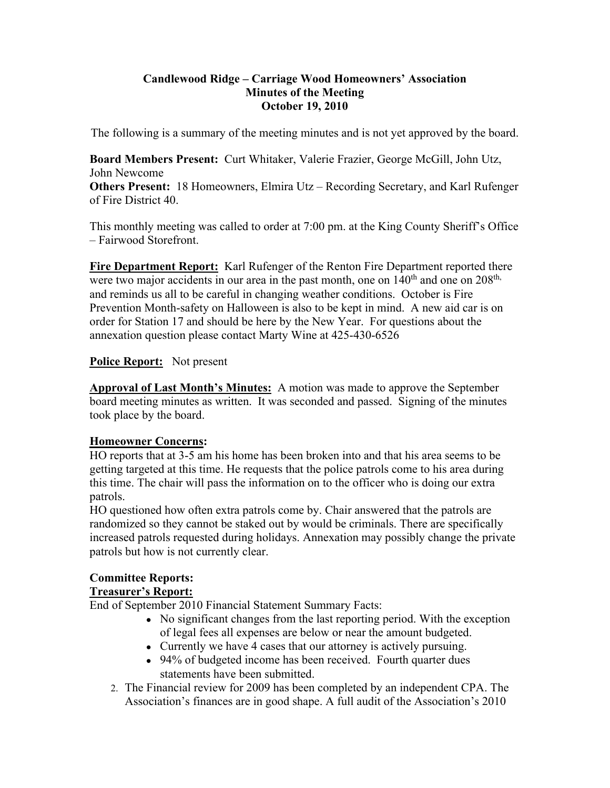## **Candlewood Ridge – Carriage Wood Homeowners' Association Minutes of the Meeting October 19, 2010**

The following is a summary of the meeting minutes and is not yet approved by the board.

**Board Members Present:** Curt Whitaker, Valerie Frazier, George McGill, John Utz, John Newcome

**Others Present:** 18 Homeowners, Elmira Utz – Recording Secretary, and Karl Rufenger of Fire District 40.

This monthly meeting was called to order at 7:00 pm. at the King County Sheriff's Office – Fairwood Storefront.

**Fire Department Report:** Karl Rufenger of the Renton Fire Department reported there were two major accidents in our area in the past month, one on  $140<sup>th</sup>$  and one on  $208<sup>th</sup>$ , and reminds us all to be careful in changing weather conditions. October is Fire Prevention Month-safety on Halloween is also to be kept in mind. A new aid car is on order for Station 17 and should be here by the New Year. For questions about the annexation question please contact Marty Wine at 425-430-6526

# **Police Report:** Not present

**Approval of Last Month's Minutes:** A motion was made to approve the September board meeting minutes as written. It was seconded and passed. Signing of the minutes took place by the board.

# **Homeowner Concerns:**

HO reports that at 3-5 am his home has been broken into and that his area seems to be getting targeted at this time. He requests that the police patrols come to his area during this time. The chair will pass the information on to the officer who is doing our extra patrols.

HO questioned how often extra patrols come by. Chair answered that the patrols are randomized so they cannot be staked out by would be criminals. There are specifically increased patrols requested during holidays. Annexation may possibly change the private patrols but how is not currently clear.

# **Committee Reports:**

# **Treasurer's Report:**

End of September 2010 Financial Statement Summary Facts:

- No significant changes from the last reporting period. With the exception of legal fees all expenses are below or near the amount budgeted.
- Currently we have 4 cases that our attorney is actively pursuing.
- 94% of budgeted income has been received. Fourth quarter dues statements have been submitted.
- 2. The Financial review for 2009 has been completed by an independent CPA. The Association's finances are in good shape. A full audit of the Association's 2010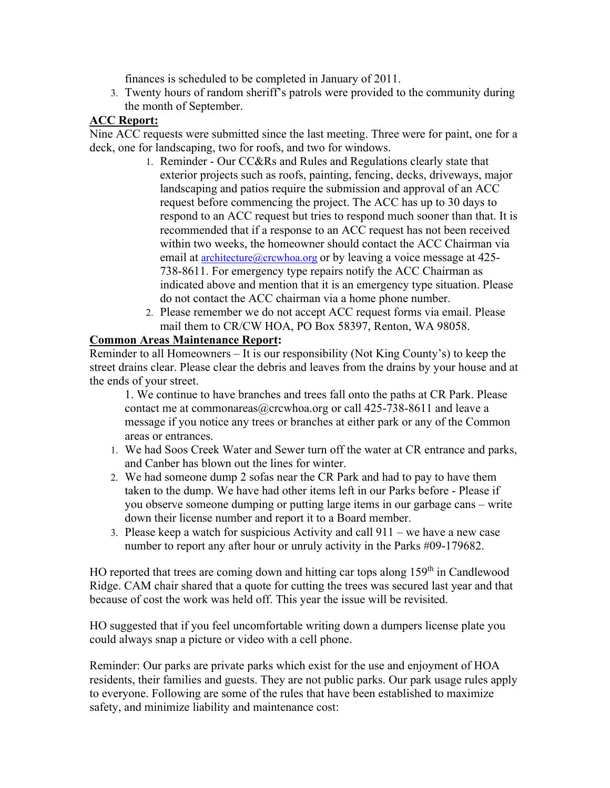finances is scheduled to be completed in January of 2011.

3. Twenty hours of random sheriff's patrols were provided to the community during the month of September.

# **ACC Report:**

Nine ACC requests were submitted since the last meeting. Three were for paint, one for a deck, one for landscaping, two for roofs, and two for windows.

- 1. Reminder Our CC&Rs and Rules and Regulations clearly state that exterior projects such as roofs, painting, fencing, decks, driveways, major landscaping and patios require the submission and approval of an ACC request before commencing the project. The ACC has up to 30 days to respond to an ACC request but tries to respond much sooner than that. It is recommended that if a response to an ACC request has not been received within two weeks, the homeowner should contact the ACC Chairman via email at **architecture** (a) crcwhoa.org or by leaving a voice message at 425-738-8611. For emergency type repairs notify the ACC Chairman as indicated above and mention that it is an emergency type situation. Please do not contact the ACC chairman via a home phone number.
- 2. Please remember we do not accept ACC request forms via email. Please mail them to CR/CW HOA, PO Box 58397, Renton, WA 98058.

# **Common Areas Maintenance Report:**

Reminder to all Homeowners – It is our responsibility (Not King County's) to keep the street drains clear. Please clear the debris and leaves from the drains by your house and at the ends of your street.

1. We continue to have branches and trees fall onto the paths at CR Park. Please contact me at commonareas@crcwhoa.org or call 425-738-8611 and leave a message if you notice any trees or branches at either park or any of the Common areas or entrances.

- 1. We had Soos Creek Water and Sewer turn off the water at CR entrance and parks, and Canber has blown out the lines for winter.
- 2. We had someone dump 2 sofas near the CR Park and had to pay to have them taken to the dump. We have had other items left in our Parks before - Please if you observe someone dumping or putting large items in our garbage cans – write down their license number and report it to a Board member.
- 3. Please keep a watch for suspicious Activity and call 911 we have a new case number to report any after hour or unruly activity in the Parks #09-179682.

HO reported that trees are coming down and hitting car tops along  $159<sup>th</sup>$  in Candlewood Ridge. CAM chair shared that a quote for cutting the trees was secured last year and that because of cost the work was held off. This year the issue will be revisited.

HO suggested that if you feel uncomfortable writing down a dumpers license plate you could always snap a picture or video with a cell phone.

Reminder: Our parks are private parks which exist for the use and enjoyment of HOA residents, their families and guests. They are not public parks. Our park usage rules apply to everyone. Following are some of the rules that have been established to maximize safety, and minimize liability and maintenance cost: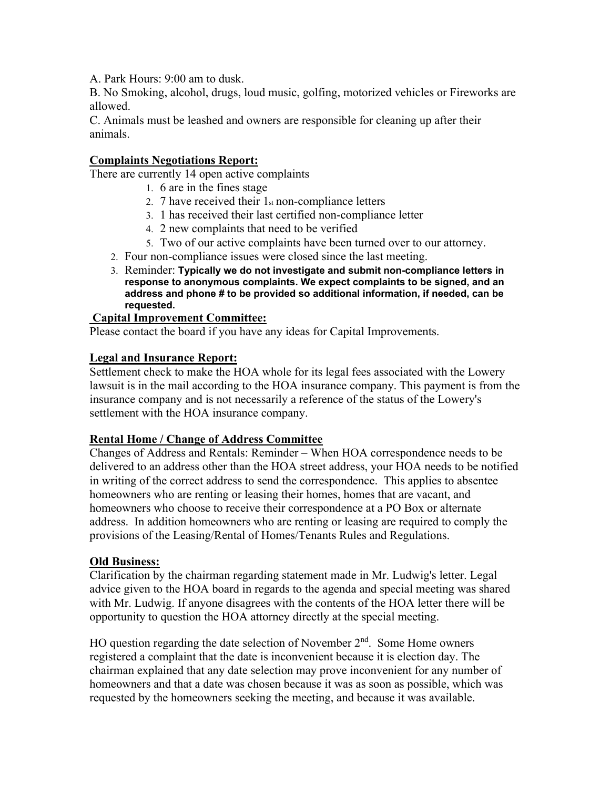A. Park Hours: 9:00 am to dusk.

B. No Smoking, alcohol, drugs, loud music, golfing, motorized vehicles or Fireworks are allowed.

C. Animals must be leashed and owners are responsible for cleaning up after their animals.

# **Complaints Negotiations Report:**

There are currently 14 open active complaints

- 1. 6 are in the fines stage
- 2. 7 have received their  $1<sub>st</sub>$  non-compliance letters
- 3. 1 has received their last certified non-compliance letter
- 4. 2 new complaints that need to be verified
- 5. Two of our active complaints have been turned over to our attorney.
- 2. Four non-compliance issues were closed since the last meeting.
- 3. Reminder: **Typically we do not investigate and submit non-compliance letters in response to anonymous complaints. We expect complaints to be signed, and an address and phone # to be provided so additional information, if needed, can be requested.**

#### **Capital Improvement Committee:**

Please contact the board if you have any ideas for Capital Improvements.

## **Legal and Insurance Report:**

Settlement check to make the HOA whole for its legal fees associated with the Lowery lawsuit is in the mail according to the HOA insurance company. This payment is from the insurance company and is not necessarily a reference of the status of the Lowery's settlement with the HOA insurance company.

#### **Rental Home / Change of Address Committee**

Changes of Address and Rentals: Reminder – When HOA correspondence needs to be delivered to an address other than the HOA street address, your HOA needs to be notified in writing of the correct address to send the correspondence. This applies to absentee homeowners who are renting or leasing their homes, homes that are vacant, and homeowners who choose to receive their correspondence at a PO Box or alternate address. In addition homeowners who are renting or leasing are required to comply the provisions of the Leasing/Rental of Homes/Tenants Rules and Regulations.

# **Old Business:**

Clarification by the chairman regarding statement made in Mr. Ludwig's letter. Legal advice given to the HOA board in regards to the agenda and special meeting was shared with Mr. Ludwig. If anyone disagrees with the contents of the HOA letter there will be opportunity to question the HOA attorney directly at the special meeting.

HO question regarding the date selection of November  $2<sup>nd</sup>$ . Some Home owners registered a complaint that the date is inconvenient because it is election day. The chairman explained that any date selection may prove inconvenient for any number of homeowners and that a date was chosen because it was as soon as possible, which was requested by the homeowners seeking the meeting, and because it was available.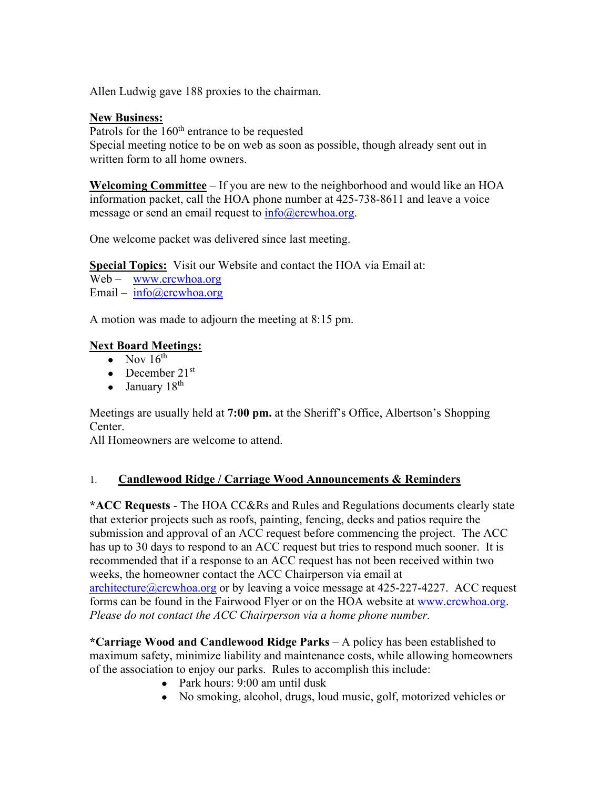Allen Ludwig gave 188 proxies to the chairman.

## **New Business:**

Patrols for the 160<sup>th</sup> entrance to be requested Special meeting notice to be on web as soon as possible, though already sent out in written form to all home owners.

**Welcoming Committee** – If you are new to the neighborhood and would like an HOA information packet, call the HOA phone number at 425-738-8611 and leave a voice message or send an email request to  $info@crcwhoa.org$ .

One welcome packet was delivered since last meeting.

**Special Topics:** Visit our Website and contact the HOA via Email at:

Web – www.crcwhoa.org Email – info@crcwhoa.org

A motion was made to adjourn the meeting at 8:15 pm.

# **Next Board Meetings:**

- Nov  $16^{\text{th}}$
- December  $21<sup>st</sup>$
- January  $18<sup>th</sup>$

Meetings are usually held at **7:00 pm.** at the Sheriff's Office, Albertson's Shopping Center.

All Homeowners are welcome to attend.

# 1. **Candlewood Ridge / Carriage Wood Announcements & Reminders**

**\*ACC Requests** - The HOA CC&Rs and Rules and Regulations documents clearly state that exterior projects such as roofs, painting, fencing, decks and patios require the submission and approval of an ACC request before commencing the project. The ACC has up to 30 days to respond to an ACC request but tries to respond much sooner. It is recommended that if a response to an ACC request has not been received within two weeks, the homeowner contact the ACC Chairperson via email at architecture@crcwhoa.org or by leaving a voice message at 425-227-4227. ACC request forms can be found in the Fairwood Flyer or on the HOA website at www.crcwhoa.org. *Please do not contact the ACC Chairperson via a home phone number.*

**\*Carriage Wood and Candlewood Ridge Parks** – A policy has been established to maximum safety, minimize liability and maintenance costs, while allowing homeowners of the association to enjoy our parks. Rules to accomplish this include:

- Park hours: 9:00 am until dusk
- No smoking, alcohol, drugs, loud music, golf, motorized vehicles or